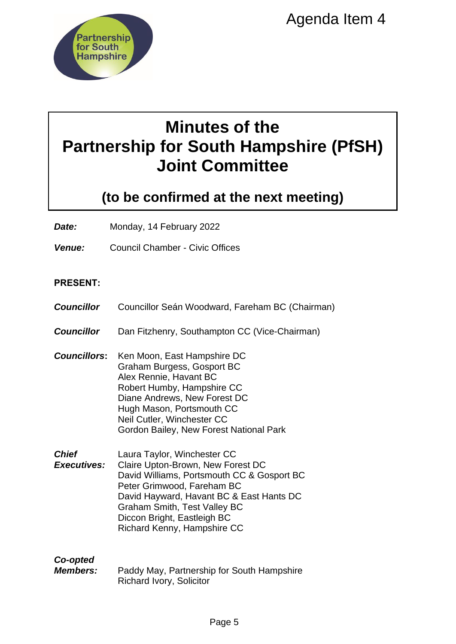

# **Minutes of the Partnership for South Hampshire (PfSH) Joint Committee** Agenda Item 4<br> **Example 15 Agenda Item 4**<br> **Committee**<br>
at the next meeting)<br>
22<br>
Offices<br>
ward, Fareham BC (Chairman)<br>
mpton CC (Vice-Chairman)<br>
shire DC<br>
C<br>
C<br>
CC<br>
CTOT BC<br>
Lith CC<br>
CC<br>
COTS BOL<br>
MEC<br>
NEC & Gosport BC<br>
W

# **(to be confirmed at the next meeting)**

*Date:* Monday, 14 February 2022

*Venue:* Council Chamber - Civic Offices

### **PRESENT:**

- *Councillor* Councillor Seán Woodward, Fareham BC (Chairman)
- *Councillor* Dan Fitzhenry, Southampton CC (Vice-Chairman)
- *Councillors***:** Ken Moon, East Hampshire DC Graham Burgess, Gosport BC Alex Rennie, Havant BC Robert Humby, Hampshire CC Diane Andrews, New Forest DC Hugh Mason, Portsmouth CC Neil Cutler, Winchester CC Gordon Bailey, New Forest National Park
- *Chief Executives:* Laura Taylor, Winchester CC Claire Upton-Brown, New Forest DC David Williams, Portsmouth CC & Gosport BC Peter Grimwood, Fareham BC David Hayward, Havant BC & East Hants DC Graham Smith, Test Valley BC Diccon Bright, Eastleigh BC Richard Kenny, Hampshire CC

## *Co-opted*

*Members:* Paddy May, Partnership for South Hampshire Richard Ivory, Solicitor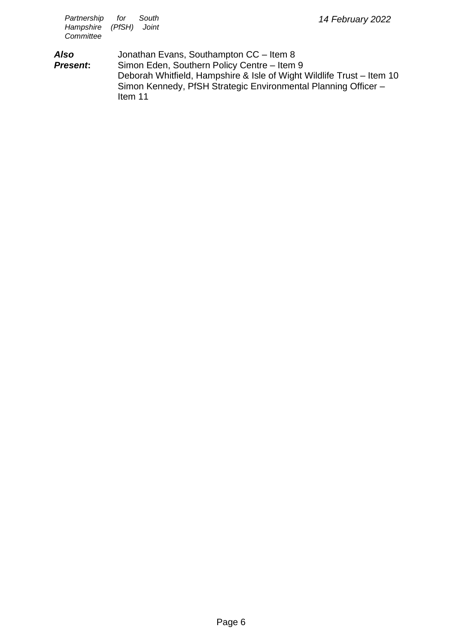*Also Present***:** Jonathan Evans, Southampton CC – Item 8 Simon Eden, Southern Policy Centre – Item 9 Deborah Whitfield, Hampshire & Isle of Wight Wildlife Trust – Item 10 Simon Kennedy, PfSH Strategic Environmental Planning Officer – Item 11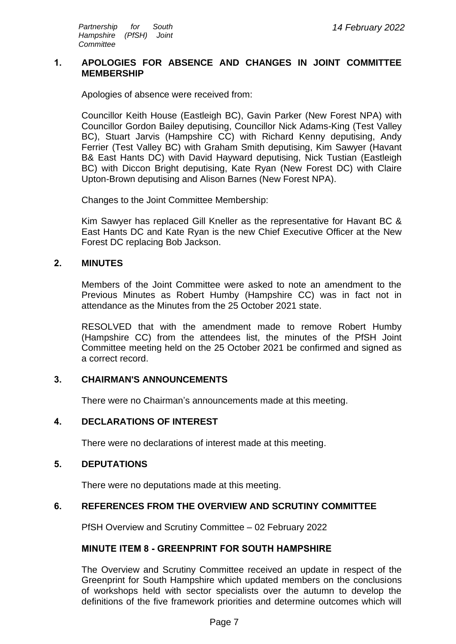### **1. APOLOGIES FOR ABSENCE AND CHANGES IN JOINT COMMITTEE MEMBERSHIP**

Apologies of absence were received from:

Councillor Keith House (Eastleigh BC), Gavin Parker (New Forest NPA) with Councillor Gordon Bailey deputising, Councillor Nick Adams-King (Test Valley BC), Stuart Jarvis (Hampshire CC) with Richard Kenny deputising, Andy Ferrier (Test Valley BC) with Graham Smith deputising, Kim Sawyer (Havant B& East Hants DC) with David Hayward deputising, Nick Tustian (Eastleigh BC) with Diccon Bright deputising, Kate Ryan (New Forest DC) with Claire Upton-Brown deputising and Alison Barnes (New Forest NPA).

Changes to the Joint Committee Membership:

Kim Sawyer has replaced Gill Kneller as the representative for Havant BC & East Hants DC and Kate Ryan is the new Chief Executive Officer at the New Forest DC replacing Bob Jackson.

### **2. MINUTES**

Members of the Joint Committee were asked to note an amendment to the Previous Minutes as Robert Humby (Hampshire CC) was in fact not in attendance as the Minutes from the 25 October 2021 state.

RESOLVED that with the amendment made to remove Robert Humby (Hampshire CC) from the attendees list, the minutes of the PfSH Joint Committee meeting held on the 25 October 2021 be confirmed and signed as a correct record.

### **3. CHAIRMAN'S ANNOUNCEMENTS**

There were no Chairman's announcements made at this meeting.

### **4. DECLARATIONS OF INTEREST**

There were no declarations of interest made at this meeting.

### **5. DEPUTATIONS**

There were no deputations made at this meeting.

### **6. REFERENCES FROM THE OVERVIEW AND SCRUTINY COMMITTEE**

PfSH Overview and Scrutiny Committee – 02 February 2022

### **MINUTE ITEM 8 - GREENPRINT FOR SOUTH HAMPSHIRE**

The Overview and Scrutiny Committee received an update in respect of the Greenprint for South Hampshire which updated members on the conclusions of workshops held with sector specialists over the autumn to develop the definitions of the five framework priorities and determine outcomes which will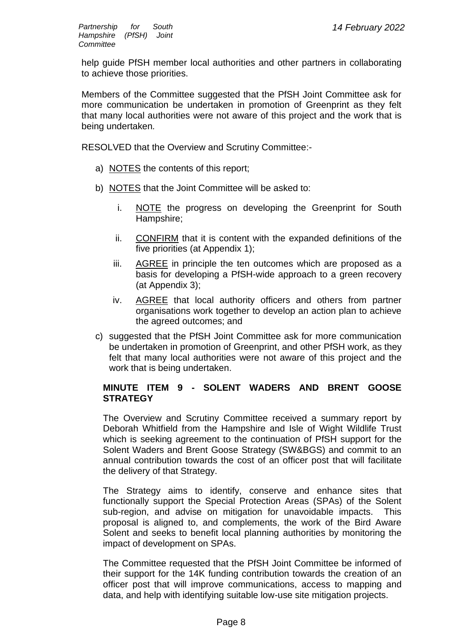help guide PfSH member local authorities and other partners in collaborating to achieve those priorities.

Members of the Committee suggested that the PfSH Joint Committee ask for more communication be undertaken in promotion of Greenprint as they felt that many local authorities were not aware of this project and the work that is being undertaken*.*

RESOLVED that the Overview and Scrutiny Committee:-

- a) NOTES the contents of this report;
- b) NOTES that the Joint Committee will be asked to:
	- i. NOTE the progress on developing the Greenprint for South Hampshire;
	- ii. CONFIRM that it is content with the expanded definitions of the five priorities (at Appendix 1);
	- iii. AGREE in principle the ten outcomes which are proposed as a basis for developing a PfSH-wide approach to a green recovery (at Appendix 3);
	- iv. **AGREE** that local authority officers and others from partner organisations work together to develop an action plan to achieve the agreed outcomes; and
- c) suggested that the PfSH Joint Committee ask for more communication be undertaken in promotion of Greenprint, and other PfSH work, as they felt that many local authorities were not aware of this project and the work that is being undertaken.

### **MINUTE ITEM 9 - SOLENT WADERS AND BRENT GOOSE STRATEGY**

The Overview and Scrutiny Committee received a summary report by Deborah Whitfield from the Hampshire and Isle of Wight Wildlife Trust which is seeking agreement to the continuation of PfSH support for the Solent Waders and Brent Goose Strategy (SW&BGS) and commit to an annual contribution towards the cost of an officer post that will facilitate the delivery of that Strategy.

The Strategy aims to identify, conserve and enhance sites that functionally support the Special Protection Areas (SPAs) of the Solent sub-region, and advise on mitigation for unavoidable impacts. This proposal is aligned to, and complements, the work of the Bird Aware Solent and seeks to benefit local planning authorities by monitoring the impact of development on SPAs.

The Committee requested that the PfSH Joint Committee be informed of their support for the 14K funding contribution towards the creation of an officer post that will improve communications, access to mapping and data, and help with identifying suitable low-use site mitigation projects.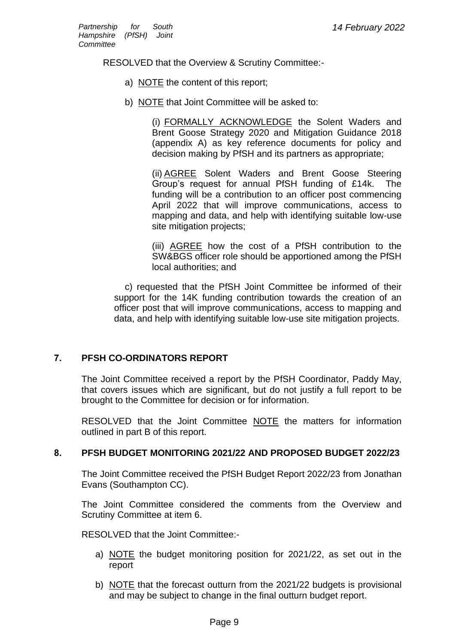RESOLVED that the Overview & Scrutiny Committee:-

- a) NOTE the content of this report;
- b) NOTE that Joint Committee will be asked to:

(i) FORMALLY ACKNOWLEDGE the Solent Waders and Brent Goose Strategy 2020 and Mitigation Guidance 2018 (appendix A) as key reference documents for policy and decision making by PfSH and its partners as appropriate;

(ii) AGREE Solent Waders and Brent Goose Steering Group's request for annual PfSH funding of £14k. The funding will be a contribution to an officer post commencing April 2022 that will improve communications, access to mapping and data, and help with identifying suitable low-use site mitigation projects;

(iii) AGREE how the cost of a PfSH contribution to the SW&BGS officer role should be apportioned among the PfSH local authorities; and

c) requested that the PfSH Joint Committee be informed of their support for the 14K funding contribution towards the creation of an officer post that will improve communications, access to mapping and data, and help with identifying suitable low-use site mitigation projects.

### **7. PFSH CO-ORDINATORS REPORT**

The Joint Committee received a report by the PfSH Coordinator, Paddy May, that covers issues which are significant, but do not justify a full report to be brought to the Committee for decision or for information.

RESOLVED that the Joint Committee NOTE the matters for information outlined in part B of this report.

### **8. PFSH BUDGET MONITORING 2021/22 AND PROPOSED BUDGET 2022/23**

The Joint Committee received the PfSH Budget Report 2022/23 from Jonathan Evans (Southampton CC).

The Joint Committee considered the comments from the Overview and Scrutiny Committee at item 6.

RESOLVED that the Joint Committee:-

- a) NOTE the budget monitoring position for 2021/22, as set out in the report
- b) NOTE that the forecast outturn from the 2021/22 budgets is provisional and may be subject to change in the final outturn budget report.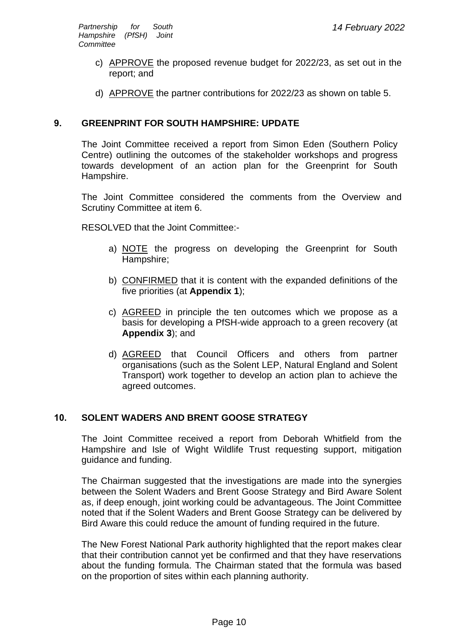- c) APPROVE the proposed revenue budget for 2022/23, as set out in the report; and
- d) APPROVE the partner contributions for 2022/23 as shown on table 5.

### **9. GREENPRINT FOR SOUTH HAMPSHIRE: UPDATE**

The Joint Committee received a report from Simon Eden (Southern Policy Centre) outlining the outcomes of the stakeholder workshops and progress towards development of an action plan for the Greenprint for South Hampshire.

The Joint Committee considered the comments from the Overview and Scrutiny Committee at item 6.

RESOLVED that the Joint Committee:-

- a) NOTE the progress on developing the Greenprint for South Hampshire;
- b) CONFIRMED that it is content with the expanded definitions of the five priorities (at **Appendix 1**);
- c) AGREED in principle the ten outcomes which we propose as a basis for developing a PfSH-wide approach to a green recovery (at **Appendix 3**); and
- d) AGREED that Council Officers and others from partner organisations (such as the Solent LEP, Natural England and Solent Transport) work together to develop an action plan to achieve the agreed outcomes.

### **10. SOLENT WADERS AND BRENT GOOSE STRATEGY**

The Joint Committee received a report from Deborah Whitfield from the Hampshire and Isle of Wight Wildlife Trust requesting support, mitigation guidance and funding.

The Chairman suggested that the investigations are made into the synergies between the Solent Waders and Brent Goose Strategy and Bird Aware Solent as, if deep enough, joint working could be advantageous. The Joint Committee noted that if the Solent Waders and Brent Goose Strategy can be delivered by Bird Aware this could reduce the amount of funding required in the future.

The New Forest National Park authority highlighted that the report makes clear that their contribution cannot yet be confirmed and that they have reservations about the funding formula. The Chairman stated that the formula was based on the proportion of sites within each planning authority.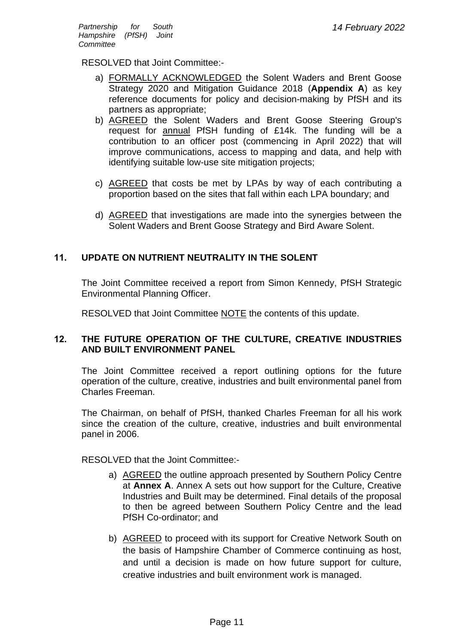RESOLVED that Joint Committee:-

- a) FORMALLY ACKNOWLEDGED the Solent Waders and Brent Goose Strategy 2020 and Mitigation Guidance 2018 (**Appendix A**) as key reference documents for policy and decision-making by PfSH and its partners as appropriate;
- b) AGREED the Solent Waders and Brent Goose Steering Group's request for annual PfSH funding of £14k. The funding will be a contribution to an officer post (commencing in April 2022) that will improve communications, access to mapping and data, and help with identifying suitable low-use site mitigation projects;
- c) AGREED that costs be met by LPAs by way of each contributing a proportion based on the sites that fall within each LPA boundary; and
- d) AGREED that investigations are made into the synergies between the Solent Waders and Brent Goose Strategy and Bird Aware Solent.

### **11. UPDATE ON NUTRIENT NEUTRALITY IN THE SOLENT**

The Joint Committee received a report from Simon Kennedy, PfSH Strategic Environmental Planning Officer.

RESOLVED that Joint Committee NOTE the contents of this update.

### **12. THE FUTURE OPERATION OF THE CULTURE, CREATIVE INDUSTRIES AND BUILT ENVIRONMENT PANEL**

The Joint Committee received a report outlining options for the future operation of the culture, creative, industries and built environmental panel from Charles Freeman.

The Chairman, on behalf of PfSH, thanked Charles Freeman for all his work since the creation of the culture, creative, industries and built environmental panel in 2006.

RESOLVED that the Joint Committee:-

- a) AGREED the outline approach presented by Southern Policy Centre at **Annex A**. Annex A sets out how support for the Culture, Creative Industries and Built may be determined. Final details of the proposal to then be agreed between Southern Policy Centre and the lead PfSH Co-ordinator; and
- b) AGREED to proceed with its support for Creative Network South on the basis of Hampshire Chamber of Commerce continuing as host, and until a decision is made on how future support for culture, creative industries and built environment work is managed.